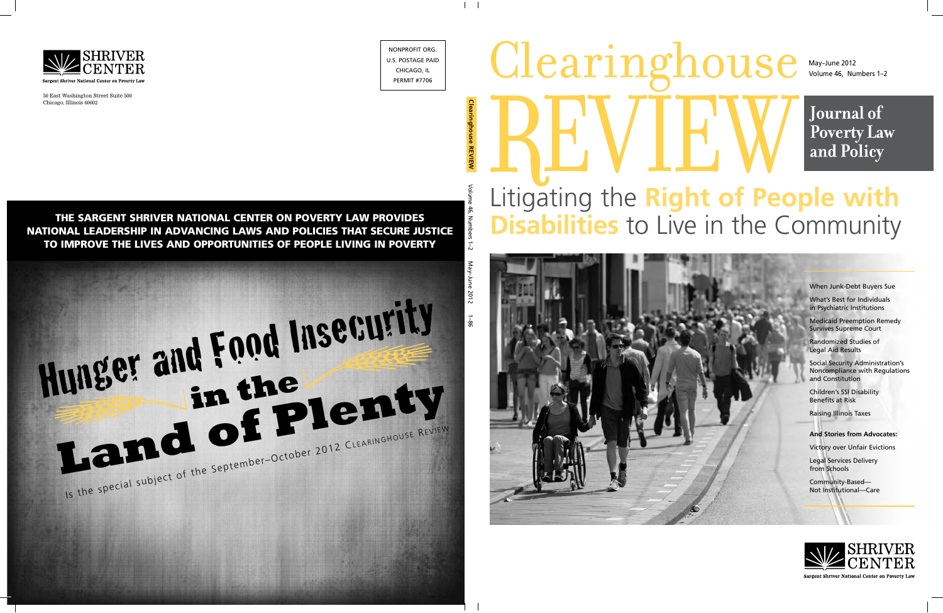# Clearing **211Se** Litigating the **Right of People with Disabilities** to Live in the Community

Volume 46, Numbers 1–2 May–June 2012

**Journal of Poverty Law** and Policy

When Junk-Debt Buyers Sue

What's Best for Individuals in Psychiatric Institutions

Medicaid Preemption Remedy Survives Supreme Court

Randomized Studies of Legal Aid Results

Social Security Administration's Noncompliance with Regulations and Constitution

Children's SSI Disability Benefits at Risk

Raising Illinois Taxes

#### **And Stories from Advocates:**

Victory over Unfair Evictions

Legal Services Delivery from Schools

Community-Based— Not Institutional—Care



Sargent Shriver National Center on Poverty Law

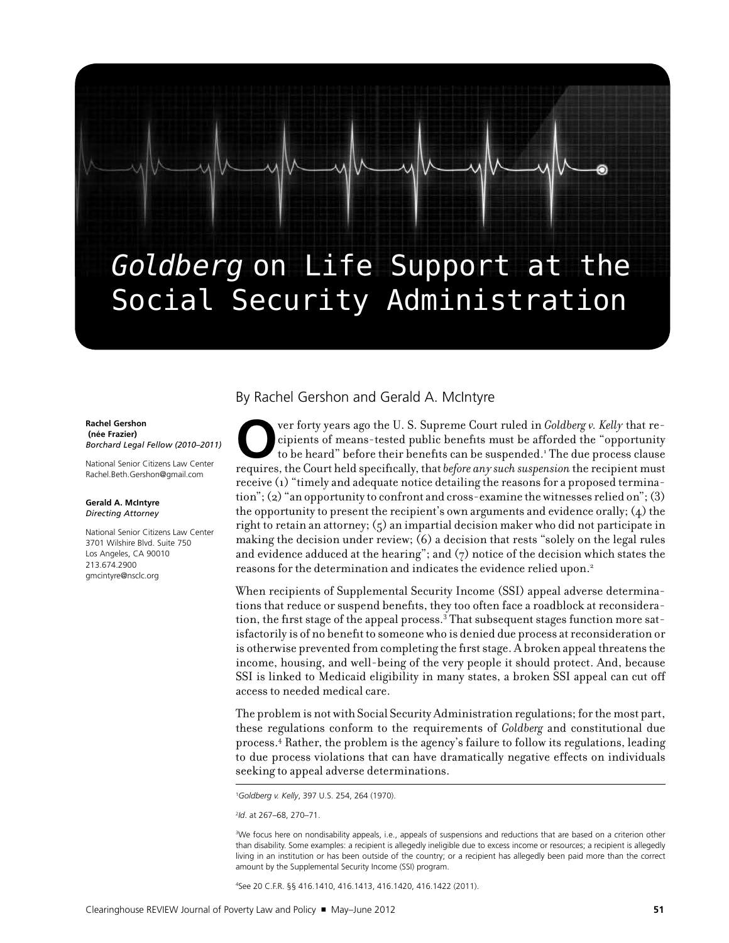## Goldberg on Life Support at the Social Security Administration

#### **Rachel Gershon (née Frazier)**  *Borchard Legal Fellow (2010–2011)*

National Senior Citizens Law Center [Rachel.Beth.Gershon@gmail.com](mailto:Rachel.Beth.Gershon@gmail.com)

#### **Gerald A. McIntyre** *Directing Attorney*

National Senior Citizens Law Center 3701 Wilshire Blvd. Suite 750 Los Angeles, CA 90010 213.674.2900 [gmcintyre@nsclc.org](mailto:gmcintyre@nsclc.org)

#### By Rachel Gershon and Gerald A. McIntyre

ver forty years ago the U. S. Supreme Court ruled in *Goldberg v. Kelly* that recipients of means-tested public benefits must be afforded the "opportunity to be heard" before their benefits can be suspended.<sup>1</sup> The due pro cipients of means-tested public benefits must be afforded the "opportunity to be heard" before their benefits can be suspended.<sup>1</sup> The due process clause requires, the Court held specifically, that *before any such suspension* the recipient must receive (1) "timely and adequate notice detailing the reasons for a proposed termination"; (2) "an opportunity to confront and cross-examine the witnesses relied on"; (3) the opportunity to present the recipient's own arguments and evidence orally; (4) the right to retain an attorney;  $(5)$  an impartial decision maker who did not participate in making the decision under review; (6) a decision that rests "solely on the legal rules and evidence adduced at the hearing"; and  $(7)$  notice of the decision which states the reasons for the determination and indicates the evidence relied upon.2

When recipients of Supplemental Security Income (SSI) appeal adverse determinations that reduce or suspend benefits, they too often face a roadblock at reconsideration, the first stage of the appeal process. $3$  That subsequent stages function more satisfactorily is of no benefit to someone who is denied due process at reconsideration or is otherwise prevented from completing the first stage. A broken appeal threatens the income, housing, and well-being of the very people it should protect. And, because SSI is linked to Medicaid eligibility in many states, a broken SSI appeal can cut off access to needed medical care.

The problem is not with Social Security Administration regulations; for the most part, these regulations conform to the requirements of *Goldberg* and constitutional due process.4 Rather, the problem is the agency's failure to follow its regulations, leading to due process violations that can have dramatically negative effects on individuals seeking to appeal adverse determinations.

1 *Goldberg v. Kelly*, 397 U.S. 254, 264 (1970).

2 *Id*. at 267–68, 270–71.

3 We focus here on nondisability appeals, i.e., appeals of suspensions and reductions that are based on a criterion other than disability. Some examples: a recipient is allegedly ineligible due to excess income or resources; a recipient is allegedly living in an institution or has been outside of the country; or a recipient has allegedly been paid more than the correct amount by the Supplemental Security Income (SSI) program.

4 See 20 C.F.R. §§ 416.1410, 416.1413, 416.1420, 416.1422 (2011).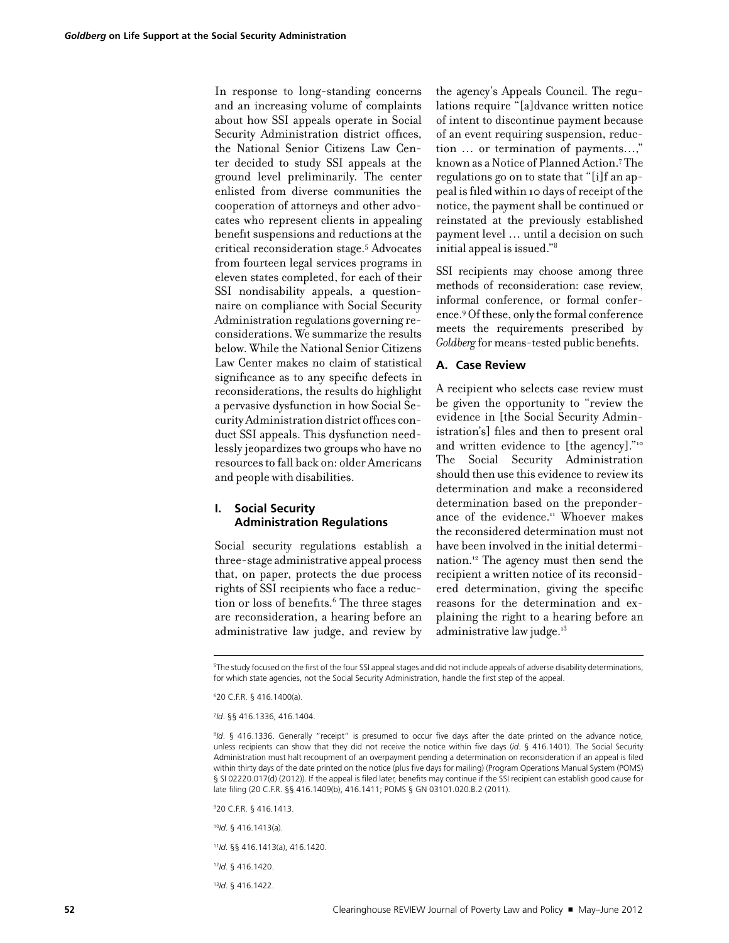In response to long-standing concerns and an increasing volume of complaints about how SSI appeals operate in Social Security Administration district offices, the National Senior Citizens Law Center decided to study SSI appeals at the ground level preliminarily. The center enlisted from diverse communities the cooperation of attorneys and other advocates who represent clients in appealing benefit suspensions and reductions at the critical reconsideration stage.5 Advocates from fourteen legal services programs in eleven states completed, for each of their SSI nondisability appeals, a questionnaire on compliance with Social Security Administration regulations governing reconsiderations. We summarize the results below. While the National Senior Citizens Law Center makes no claim of statistical significance as to any specific defects in reconsiderations, the results do highlight a pervasive dysfunction in how Social Security Administration district offices conduct SSI appeals. This dysfunction needlessly jeopardizes two groups who have no resources to fall back on: older Americans and people with disabilities.

#### **I. Social Security Administration Regulations**

Social security regulations establish a three-stage administrative appeal process that, on paper, protects the due process rights of SSI recipients who face a reduction or loss of benefits.<sup>6</sup> The three stages are reconsideration, a hearing before an administrative law judge, and review by

the agency's Appeals Council. The regulations require "[a]dvance written notice of intent to discontinue payment because of an event requiring suspension, reduction ... or termination of payments...," known as a Notice of Planned Action.7 The regulations go on to state that "[i]f an appeal is filed within 10 days of receipt of the notice, the payment shall be continued or reinstated at the previously established payment level … until a decision on such initial appeal is issued."8

SSI recipients may choose among three methods of reconsideration: case review, informal conference, or formal conference.9 Of these, only the formal conference meets the requirements prescribed by *Goldberg* for means-tested public benefits.

#### **A. Case Review**

A recipient who selects case review must be given the opportunity to "review the evidence in [the Social Security Administration's] files and then to present oral and written evidence to [the agency]."10 The Social Security Administration should then use this evidence to review its determination and make a reconsidered determination based on the preponderance of the evidence.<sup>11</sup> Whoever makes the reconsidered determination must not have been involved in the initial determination.12 The agency must then send the recipient a written notice of its reconsidered determination, giving the specific reasons for the determination and explaining the right to a hearing before an administrative law judge.<sup>13</sup>

5 The study focused on the first of the four SSI appeal stages and did not include appeals of adverse disability determinations, for which state agencies, not the Social Security Administration, handle the first step of the appeal.

6 20 C.F.R. § 416.1400(a).

7 *Id*. §§ 416.1336, 416.1404.

<sup>8</sup>Id. § 416.1336. Generally "receipt" is presumed to occur five days after the date printed on the advance notice, unless recipients can show that they did not receive the notice within five days (*id*. § 416.1401). The Social Security Administration must halt recoupment of an overpayment pending a determination on reconsideration if an appeal is filed within thirty days of the date printed on the notice (plus five days for mailing) (Program Operations Manual System (POMS) § SI 02220.017(d) (2012)). If the appeal is filed later, benefits may continue if the SSI recipient can establish good cause for late filing (20 C.F.R. §§ 416.1409(b), 416.1411; POMS § GN 03101.020.B.2 (2011).

9 20 C.F.R. § 416.1413.

<sup>10</sup>*Id*. § 416.1413(a).

<sup>11</sup>*Id*. §§ 416.1413(a), 416.1420.

<sup>12</sup>*Id.* § 416.1420.

13*Id*. § 416.1422.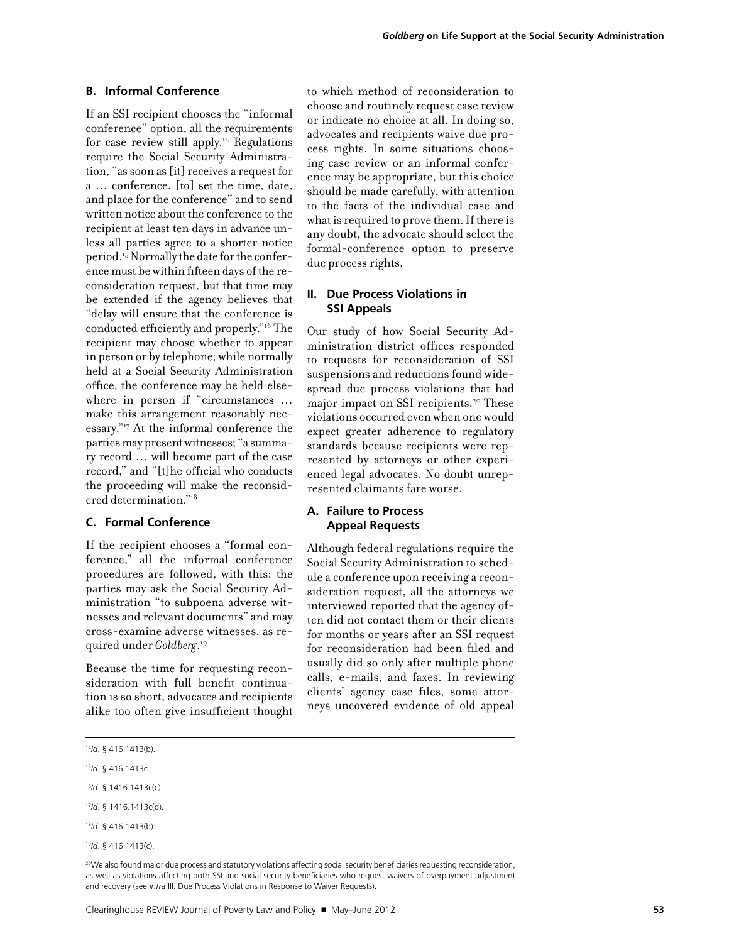#### **B. Informal Conference**

If an SSI recipient chooses the "informal conference" option, all the requirements for case review still apply.14 Regulations require the Social Security Administration, "as soon as [it] receives a request for a … conference, [to] set the time, date, and place for the conference" and to send written notice about the conference to the recipient at least ten days in advance unless all parties agree to a shorter notice period.15 Normally the date for the conference must be within fifteen days of the reconsideration request, but that time may be extended if the agency believes that "delay will ensure that the conference is conducted efficiently and properly."16 The recipient may choose whether to appear in person or by telephone; while normally held at a Social Security Administration office, the conference may be held elsewhere in person if "circumstances … make this arrangement reasonably necessary."17 At the informal conference the parties may present witnesses; "a summary record … will become part of the case record," and "[t]he official who conducts the proceeding will make the reconsidered determination."18

#### **C. Formal Conference**

If the recipient chooses a "formal conference," all the informal conference procedures are followed, with this: the parties may ask the Social Security Administration "to subpoena adverse witnesses and relevant documents" and may cross-examine adverse witnesses, as required under *Goldberg*. 19

Because the time for requesting reconsideration with full benefit continuation is so short, advocates and recipients alike too often give insufficient thought to which method of reconsideration to choose and routinely request case review or indicate no choice at all. In doing so, advocates and recipients waive due process rights. In some situations choosing case review or an informal conference may be appropriate, but this choice should be made carefully, with attention to the facts of the individual case and what is required to prove them. If there is any doubt, the advocate should select the formal-conference option to preserve due process rights.

#### **II. Due Process Violations in SSI Appeals**

Our study of how Social Security Administration district offices responded to requests for reconsideration of SSI suspensions and reductions found widespread due process violations that had major impact on SSI recipients.<sup>20</sup> These violations occurred even when one would expect greater adherence to regulatory standards because recipients were represented by attorneys or other experienced legal advocates. No doubt unrepresented claimants fare worse.

#### **A. Failure to Process Appeal Requests**

Although federal regulations require the Social Security Administration to schedule a conference upon receiving a reconsideration request, all the attorneys we interviewed reported that the agency often did not contact them or their clients for months or years after an SSI request for reconsideration had been filed and usually did so only after multiple phone calls, e-mails, and faxes. In reviewing clients' agency case files, some attorneys uncovered evidence of old appeal

20We also found major due process and statutory violations affecting social security beneficiaries requesting reconsideration, as well as violations affecting both SSI and social security beneficiaries who request waivers of overpayment adjustment and recovery (see *infra* III. Due Process Violations in Response to Waiver Requests).

<sup>14</sup>*Id*. § 416.1413(b).

<sup>15</sup>*Id*. § 416.1413c.

<sup>16</sup>*Id*. § 1416.1413c(c).

<sup>17</sup>*Id*. § 1416.1413c(d).

<sup>18</sup>*Id*. § 416.1413(b).

<sup>19</sup>*Id*. § 416.1413(c).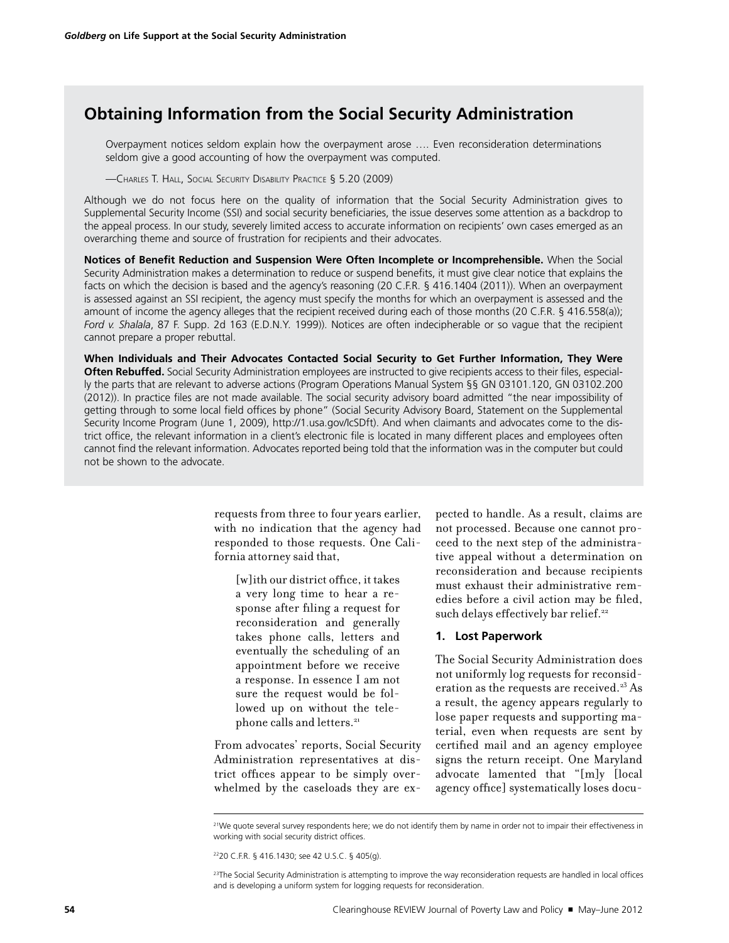#### **Obtaining Information from the Social Security Administration**

Overpayment notices seldom explain how the overpayment arose …. Even reconsideration determinations seldom give a good accounting of how the overpayment was computed.

—Charles T. Hall, Social Security Disability Practice § 5.20 (2009)

Although we do not focus here on the quality of information that the Social Security Administration gives to Supplemental Security Income (SSI) and social security beneficiaries, the issue deserves some attention as a backdrop to the appeal process. In our study, severely limited access to accurate information on recipients' own cases emerged as an overarching theme and source of frustration for recipients and their advocates.

**Notices of Benefit Reduction and Suspension Were Often Incomplete or Incomprehensible.** When the Social Security Administration makes a determination to reduce or suspend benefits, it must give clear notice that explains the facts on which the decision is based and the agency's reasoning (20 C.F.R. § 416.1404 (2011)). When an overpayment is assessed against an SSI recipient, the agency must specify the months for which an overpayment is assessed and the amount of income the agency alleges that the recipient received during each of those months (20 C.F.R. § 416.558(a)); *Ford v. Shalala*, 87 F. Supp. 2d 163 (E.D.N.Y. 1999)). Notices are often indecipherable or so vague that the recipient cannot prepare a proper rebuttal.

**When Individuals and Their Advocates Contacted Social Security to Get Further Information, They Were Often Rebuffed.** Social Security Administration employees are instructed to give recipients access to their files, especially the parts that are relevant to adverse actions (Program Operations Manual System §§ GN 03101.120, GN 03102.200 (2012)). In practice files are not made available. The social security advisory board admitted "the near impossibility of getting through to some local field offices by phone" (Social Security Advisory Board, Statement on the Supplemental Security Income Program (June 1, 2009), [http://1.usa.gov/IcSDf](http://1.usa.gov/IcSDft)t). And when claimants and advocates come to the district office, the relevant information in a client's electronic file is located in many different places and employees often cannot find the relevant information. Advocates reported being told that the information was in the computer but could not be shown to the advocate.

> requests from three to four years earlier, with no indication that the agency had responded to those requests. One California attorney said that,

[w]ith our district office, it takes a very long time to hear a response after filing a request for reconsideration and generally takes phone calls, letters and eventually the scheduling of an appointment before we receive a response. In essence I am not sure the request would be followed up on without the telephone calls and letters.<sup>21</sup>

From advocates' reports, Social Security Administration representatives at district offices appear to be simply overwhelmed by the caseloads they are expected to handle. As a result, claims are not processed. Because one cannot proceed to the next step of the administrative appeal without a determination on reconsideration and because recipients must exhaust their administrative remedies before a civil action may be filed, such delays effectively bar relief.<sup>22</sup>

#### **1. Lost Paperwork**

The Social Security Administration does not uniformly log requests for reconsideration as the requests are received.<sup>23</sup> As a result, the agency appears regularly to lose paper requests and supporting material, even when requests are sent by certified mail and an agency employee signs the return receipt. One Maryland advocate lamented that "[m]y [local agency office] systematically loses docu-

<sup>21</sup>We quote several survey respondents here; we do not identify them by name in order not to impair their effectiveness in working with social security district offices.

<sup>2220</sup> C.F.R. § 416.1430; see 42 U.S.C. § 405(g).

<sup>&</sup>lt;sup>23</sup>The Social Security Administration is attempting to improve the way reconsideration requests are handled in local offices and is developing a uniform system for logging requests for reconsideration.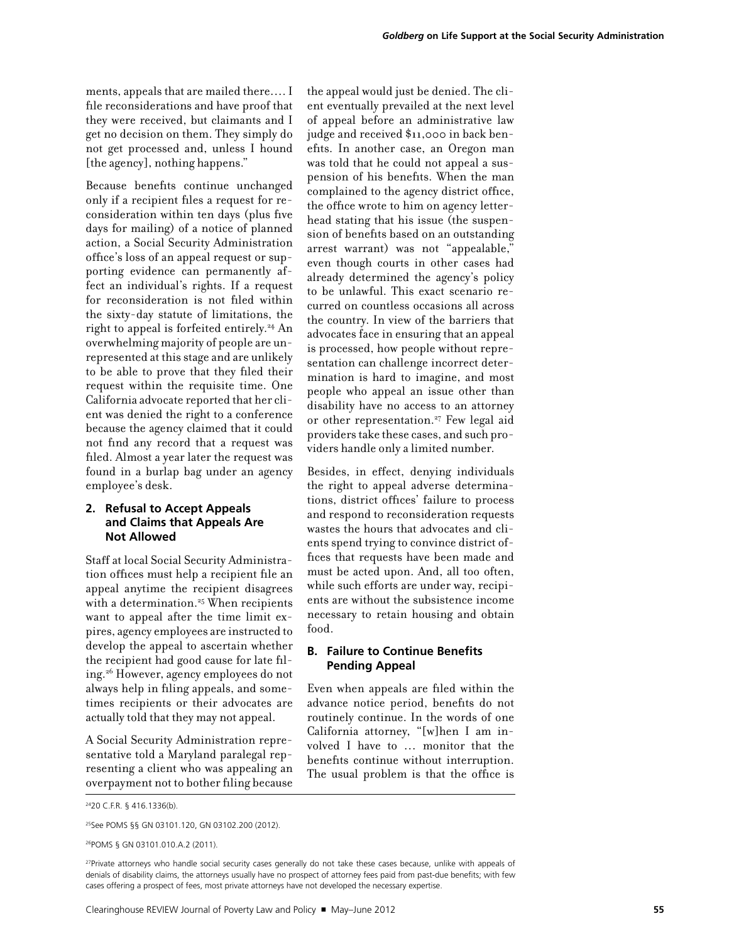ments, appeals that are mailed there…. I file reconsiderations and have proof that they were received, but claimants and I get no decision on them. They simply do not get processed and, unless I hound [the agency], nothing happens."

Because benefits continue unchanged only if a recipient files a request for reconsideration within ten days (plus five days for mailing) of a notice of planned action, a Social Security Administration office's loss of an appeal request or supporting evidence can permanently affect an individual's rights. If a request for reconsideration is not filed within the sixty-day statute of limitations, the right to appeal is forfeited entirely.<sup>24</sup> An overwhelming majority of people are unrepresented at this stage and are unlikely to be able to prove that they filed their request within the requisite time. One California advocate reported that her client was denied the right to a conference because the agency claimed that it could not find any record that a request was filed. Almost a year later the request was found in a burlap bag under an agency employee's desk.

#### **2. Refusal to Accept Appeals and Claims that Appeals Are Not Allowed**

Staff at local Social Security Administration offices must help a recipient file an appeal anytime the recipient disagrees with a determination.<sup>25</sup> When recipients want to appeal after the time limit expires, agency employees are instructed to develop the appeal to ascertain whether the recipient had good cause for late filing.26 However, agency employees do not always help in filing appeals, and sometimes recipients or their advocates are actually told that they may not appeal.

A Social Security Administration representative told a Maryland paralegal representing a client who was appealing an overpayment not to bother filing because the appeal would just be denied. The client eventually prevailed at the next level of appeal before an administrative law judge and received \$11,000 in back benefits. In another case, an Oregon man was told that he could not appeal a suspension of his benefits. When the man complained to the agency district office, the office wrote to him on agency letterhead stating that his issue (the suspension of benefits based on an outstanding arrest warrant) was not "appealable," even though courts in other cases had already determined the agency's policy to be unlawful. This exact scenario recurred on countless occasions all across the country. In view of the barriers that advocates face in ensuring that an appeal is processed, how people without representation can challenge incorrect determination is hard to imagine, and most people who appeal an issue other than disability have no access to an attorney or other representation.<sup>27</sup> Few legal aid providers take these cases, and such providers handle only a limited number.

Besides, in effect, denying individuals the right to appeal adverse determinations, district offices' failure to process and respond to reconsideration requests wastes the hours that advocates and clients spend trying to convince district offices that requests have been made and must be acted upon. And, all too often, while such efforts are under way, recipients are without the subsistence income necessary to retain housing and obtain food.

#### **B. Failure to Continue Benefits Pending Appeal**

Even when appeals are filed within the advance notice period, benefits do not routinely continue. In the words of one California attorney, "[w]hen I am involved I have to … monitor that the benefits continue without interruption. The usual problem is that the office is

2420 C.F.R. § 416.1336(b).

<sup>25</sup>See POMS §§ GN 03101.120, GN 03102.200 (2012).

<sup>26</sup>POMS § GN 03101.010.A.2 (2011).

<sup>&</sup>lt;sup>27</sup>Private attorneys who handle social security cases generally do not take these cases because, unlike with appeals of denials of disability claims, the attorneys usually have no prospect of attorney fees paid from past-due benefits; with few cases offering a prospect of fees, most private attorneys have not developed the necessary expertise.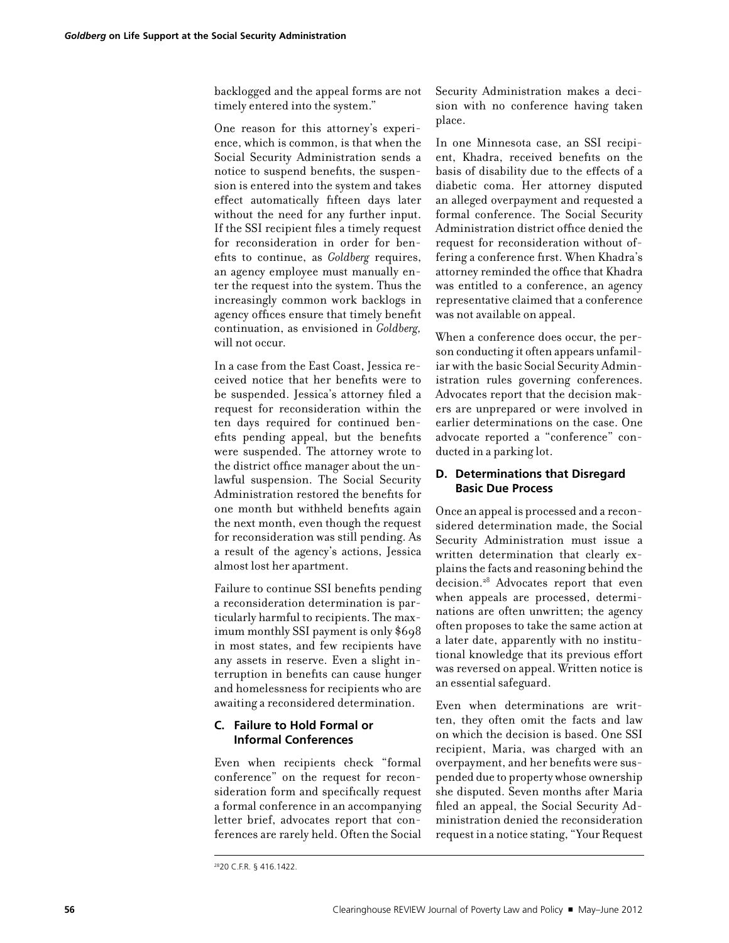backlogged and the appeal forms are not timely entered into the system."

One reason for this attorney's experience, which is common, is that when the Social Security Administration sends a notice to suspend benefits, the suspension is entered into the system and takes effect automatically fifteen days later without the need for any further input. If the SSI recipient files a timely request for reconsideration in order for benefits to continue, as *Goldberg* requires, an agency employee must manually enter the request into the system. Thus the increasingly common work backlogs in agency offices ensure that timely benefit continuation, as envisioned in *Goldberg,* will not occur.

In a case from the East Coast, Jessica received notice that her benefits were to be suspended. Jessica's attorney filed a request for reconsideration within the ten days required for continued benefits pending appeal, but the benefits were suspended. The attorney wrote to the district office manager about the unlawful suspension. The Social Security Administration restored the benefits for one month but withheld benefits again the next month, even though the request for reconsideration was still pending. As a result of the agency's actions, Jessica almost lost her apartment.

Failure to continue SSI benefits pending a reconsideration determination is particularly harmful to recipients. The maximum monthly SSI payment is only \$698 in most states, and few recipients have any assets in reserve. Even a slight interruption in benefits can cause hunger and homelessness for recipients who are awaiting a reconsidered determination.

#### **C. Failure to Hold Formal or Informal Conferences**

Even when recipients check "formal conference" on the request for reconsideration form and specifically request a formal conference in an accompanying letter brief, advocates report that conferences are rarely held. Often the Social

Security Administration makes a decision with no conference having taken place.

In one Minnesota case, an SSI recipient, Khadra, received benefits on the basis of disability due to the effects of a diabetic coma. Her attorney disputed an alleged overpayment and requested a formal conference. The Social Security Administration district office denied the request for reconsideration without offering a conference first. When Khadra's attorney reminded the office that Khadra was entitled to a conference, an agency representative claimed that a conference was not available on appeal.

When a conference does occur, the person conducting it often appears unfamiliar with the basic Social Security Administration rules governing conferences. Advocates report that the decision makers are unprepared or were involved in earlier determinations on the case. One advocate reported a "conference" conducted in a parking lot.

#### **D. Determinations that Disregard Basic Due Process**

Once an appeal is processed and a reconsidered determination made, the Social Security Administration must issue a written determination that clearly explains the facts and reasoning behind the decision.28 Advocates report that even when appeals are processed, determinations are often unwritten; the agency often proposes to take the same action at a later date, apparently with no institutional knowledge that its previous effort was reversed on appeal. Written notice is an essential safeguard.

Even when determinations are written, they often omit the facts and law on which the decision is based. One SSI recipient, Maria, was charged with an overpayment, and her benefits were suspended due to property whose ownership she disputed. Seven months after Maria filed an appeal, the Social Security Administration denied the reconsideration request in a notice stating, "Your Request

<sup>2820</sup> C.F.R. § 416.1422.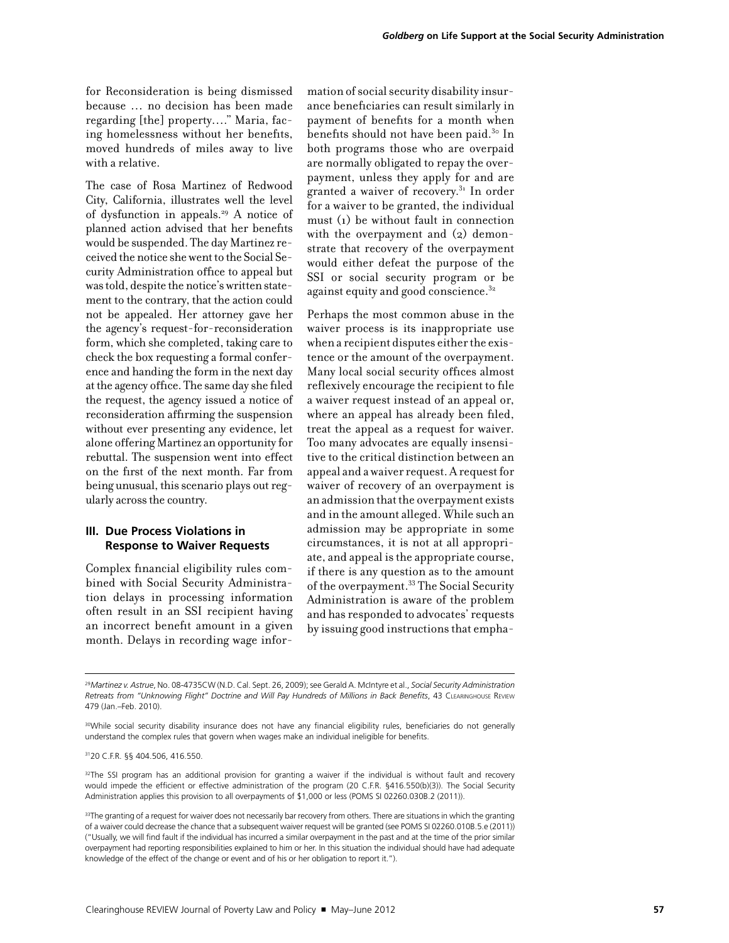for Reconsideration is being dismissed because … no decision has been made regarding [the] property…." Maria, facing homelessness without her benefits, moved hundreds of miles away to live with a relative.

The case of Rosa Martinez of Redwood City, California, illustrates well the level of dysfunction in appeals.29 A notice of planned action advised that her benefits would be suspended. The day Martinez received the notice she went to the Social Security Administration office to appeal but was told, despite the notice's written statement to the contrary, that the action could not be appealed. Her attorney gave her the agency's request-for-reconsideration form, which she completed, taking care to check the box requesting a formal conference and handing the form in the next day at the agency office. The same day she filed the request, the agency issued a notice of reconsideration affirming the suspension without ever presenting any evidence, let alone offering Martinez an opportunity for rebuttal. The suspension went into effect on the first of the next month. Far from being unusual, this scenario plays out regularly across the country.

#### **III. Due Process Violations in Response to Waiver Requests**

Complex financial eligibility rules combined with Social Security Administration delays in processing information often result in an SSI recipient having an incorrect benefit amount in a given month. Delays in recording wage information of social security disability insurance beneficiaries can result similarly in payment of benefits for a month when benefits should not have been paid.<sup>30</sup> In both programs those who are overpaid are normally obligated to repay the overpayment, unless they apply for and are granted a waiver of recovery.31 In order for a waiver to be granted, the individual must (1) be without fault in connection with the overpayment and  $(2)$  demonstrate that recovery of the overpayment would either defeat the purpose of the SSI or social security program or be against equity and good conscience.<sup>32</sup>

Perhaps the most common abuse in the waiver process is its inappropriate use when a recipient disputes either the existence or the amount of the overpayment. Many local social security offices almost reflexively encourage the recipient to file a waiver request instead of an appeal or, where an appeal has already been filed, treat the appeal as a request for waiver. Too many advocates are equally insensitive to the critical distinction between an appeal and a waiver request. A request for waiver of recovery of an overpayment is an admission that the overpayment exists and in the amount alleged. While such an admission may be appropriate in some circumstances, it is not at all appropriate, and appeal is the appropriate course, if there is any question as to the amount of the overpayment.33 The Social Security Administration is aware of the problem and has responded to advocates' requests by issuing good instructions that empha-

<sup>29</sup>*Martinez v. Astrue*, No. 08-4735CW (N.D. Cal. Sept. 26, 2009); see Gerald A. McIntyre et al., *Social Security Administration Retreats from "Unknowing Flight" Doctrine and Will Pay Hundreds of Millions in Back Benefits*, 43 Clearinghouse Review 479 (Jan.–Feb. 2010).

<sup>30</sup>While social security disability insurance does not have any financial eligibility rules, beneficiaries do not generally understand the complex rules that govern when wages make an individual ineligible for benefits.

3120 C.F.R. §§ 404.506, 416.550.

<sup>32</sup>The SSI program has an additional provision for granting a waiver if the individual is without fault and recovery would impede the efficient or effective administration of the program (20 C.F.R. §416.550(b)(3)). The Social Security Administration applies this provision to all overpayments of \$1,000 or less (POMS SI 02260.030B.2 (2011)).

<sup>33</sup>The granting of a request for waiver does not necessarily bar recovery from others. There are situations in which the granting of a waiver could decrease the chance that a subsequent waiver request will be granted (see POMS SI 02260.010B.5.e (2011)) ("Usually, we will find fault if the individual has incurred a similar overpayment in the past and at the time of the prior similar overpayment had reporting responsibilities explained to him or her. In this situation the individual should have had adequate knowledge of the effect of the change or event and of his or her obligation to report it.").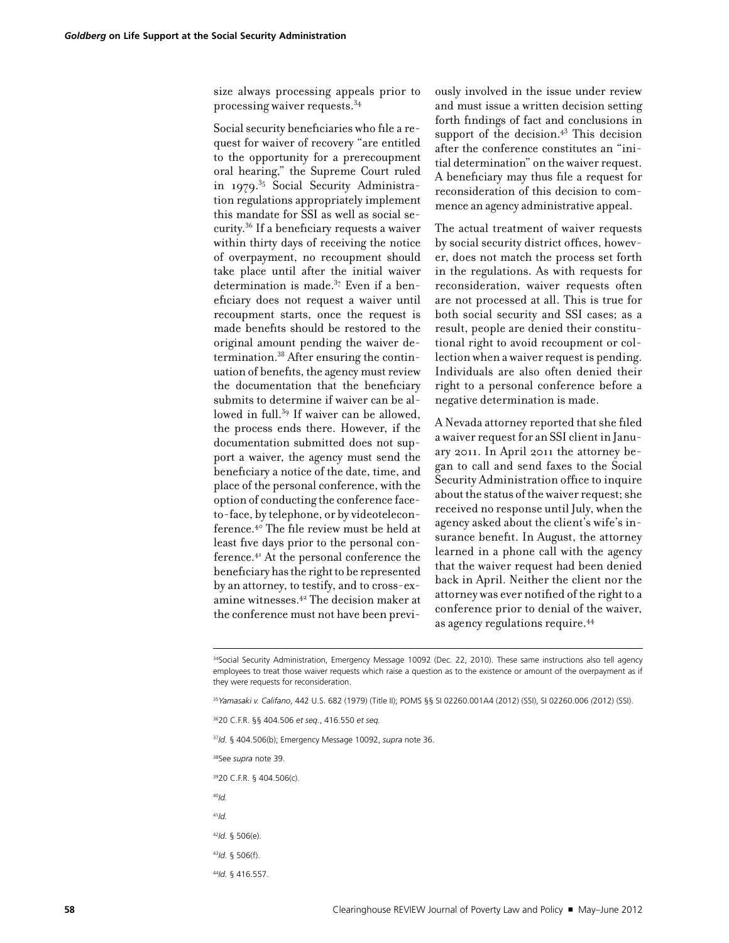size always processing appeals prior to processing waiver requests.34

Social security beneficiaries who file a request for waiver of recovery "are entitled to the opportunity for a prerecoupment oral hearing," the Supreme Court ruled in 1979.<sup>35</sup> Social Security Administration regulations appropriately implement this mandate for SSI as well as social security.36 If a beneficiary requests a waiver within thirty days of receiving the notice of overpayment, no recoupment should take place until after the initial waiver determination is made. $37$  Even if a beneficiary does not request a waiver until recoupment starts, once the request is made benefits should be restored to the original amount pending the waiver determination.38 After ensuring the continuation of benefits, the agency must review the documentation that the beneficiary submits to determine if waiver can be allowed in full.<sup>39</sup> If waiver can be allowed, the process ends there. However, if the documentation submitted does not support a waiver, the agency must send the beneficiary a notice of the date, time, and place of the personal conference, with the option of conducting the conference faceto-face, by telephone, or by videoteleconference.40 The file review must be held at least five days prior to the personal conference.41 At the personal conference the beneficiary has the right to be represented by an attorney, to testify, and to cross-examine witnesses.42 The decision maker at the conference must not have been previously involved in the issue under review and must issue a written decision setting forth findings of fact and conclusions in support of the decision. $4<sup>3</sup>$  This decision after the conference constitutes an "initial determination" on the waiver request. A beneficiary may thus file a request for reconsideration of this decision to commence an agency administrative appeal.

The actual treatment of waiver requests by social security district offices, however, does not match the process set forth in the regulations. As with requests for reconsideration, waiver requests often are not processed at all. This is true for both social security and SSI cases; as a result, people are denied their constitutional right to avoid recoupment or collection when a waiver request is pending. Individuals are also often denied their right to a personal conference before a negative determination is made.

A Nevada attorney reported that she filed a waiver request for an SSI client in January 2011. In April 2011 the attorney began to call and send faxes to the Social Security Administration office to inquire about the status of the waiver request; she received no response until July, when the agency asked about the client's wife's insurance benefit. In August, the attorney learned in a phone call with the agency that the waiver request had been denied back in April. Neither the client nor the attorney was ever notified of the right to a conference prior to denial of the waiver, as agency regulations require.44

34Social Security Administration, Emergency Message 10092 (Dec. 22, 2010). These same instructions also tell agency employees to treat those waiver requests which raise a question as to the existence or amount of the overpayment as if they were requests for reconsideration.

<sup>35</sup>*Yamasaki v. Califano*, 442 U.S. 682 (1979) (Title II); POMS §§ SI 02260.001A4 (2012) (SSI), SI 02260.006 *(*2012) (SSI).

3620 C.F.R. §§ 404.506 *et seq.*, 416.550 *et seq.*

<sup>37</sup>*Id*. § 404.506(b); Emergency Message 10092, *supra* note 36.

38See *supra* note 39.

3920 C.F.R. § 404.506(c).

<sup>40</sup>*Id.*

<sup>41</sup>*Id.*

- <sup>42</sup>*Id*. § 506(e).
- <sup>43</sup>*Id*. § 506(f).

<sup>44</sup>*Id*. § 416.557.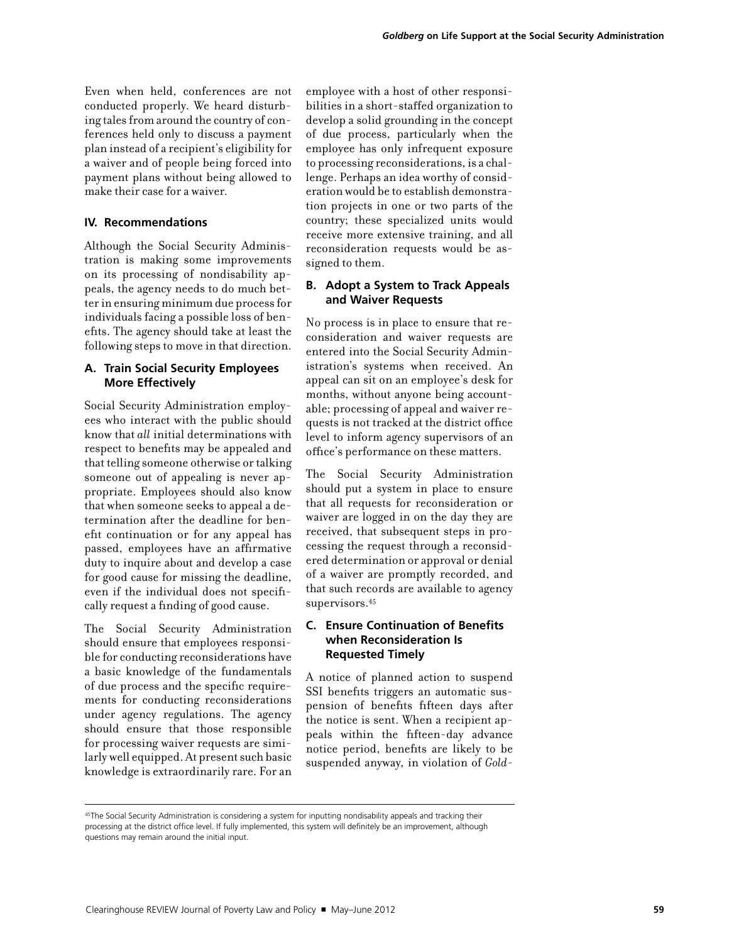Even when held, conferences are not conducted properly. We heard disturbing tales from around the country of conferences held only to discuss a payment plan instead of a recipient's eligibility for a waiver and of people being forced into payment plans without being allowed to make their case for a waiver.

#### **IV. Recommendations**

Although the Social Security Administration is making some improvements on its processing of nondisability appeals, the agency needs to do much better in ensuring minimum due process for individuals facing a possible loss of benefits. The agency should take at least the following steps to move in that direction.

#### **A. Train Social Security Employees More Effectively**

Social Security Administration employees who interact with the public should know that *all* initial determinations with respect to benefits may be appealed and that telling someone otherwise or talking someone out of appealing is never appropriate. Employees should also know that when someone seeks to appeal a determination after the deadline for benefit continuation or for any appeal has passed, employees have an affirmative duty to inquire about and develop a case for good cause for missing the deadline, even if the individual does not specifically request a finding of good cause.

The Social Security Administration should ensure that employees responsible for conducting reconsiderations have a basic knowledge of the fundamentals of due process and the specific requirements for conducting reconsiderations under agency regulations. The agency should ensure that those responsible for processing waiver requests are similarly well equipped. At present such basic knowledge is extraordinarily rare. For an

employee with a host of other responsibilities in a short-staffed organization to develop a solid grounding in the concept of due process, particularly when the employee has only infrequent exposure to processing reconsiderations, is a challenge. Perhaps an idea worthy of consideration would be to establish demonstration projects in one or two parts of the country; these specialized units would receive more extensive training, and all reconsideration requests would be assigned to them.

#### **B. Adopt a System to Track Appeals and Waiver Requests**

No process is in place to ensure that reconsideration and waiver requests are entered into the Social Security Administration's systems when received. An appeal can sit on an employee's desk for months, without anyone being accountable; processing of appeal and waiver requests is not tracked at the district office level to inform agency supervisors of an office's performance on these matters.

The Social Security Administration should put a system in place to ensure that all requests for reconsideration or waiver are logged in on the day they are received, that subsequent steps in processing the request through a reconsidered determination or approval or denial of a waiver are promptly recorded, and that such records are available to agency supervisors.<sup>45</sup>

#### **C. Ensure Continuation of Benefits when Reconsideration Is Requested Timely**

A notice of planned action to suspend SSI benefits triggers an automatic suspension of benefits fifteen days after the notice is sent. When a recipient appeals within the fifteen-day advance notice period, benefits are likely to be suspended anyway, in violation of *Gold-*

<sup>&</sup>lt;sup>45</sup>The Social Security Administration is considering a system for inputting nondisability appeals and tracking their processing at the district office level. If fully implemented, this system will definitely be an improvement, although questions may remain around the initial input.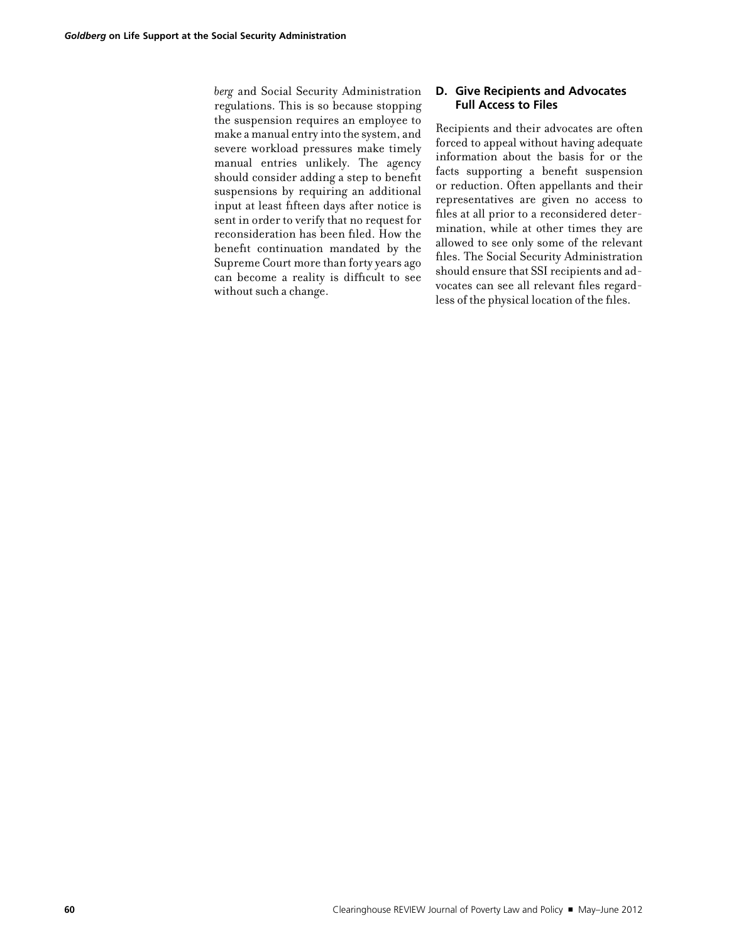*berg* and Social Security Administration regulations. This is so because stopping the suspension requires an employee to make a manual entry into the system, and severe workload pressures make timely manual entries unlikely. The agency should consider adding a step to benefit suspensions by requiring an additional input at least fifteen days after notice is sent in order to verify that no request for reconsideration has been filed. How the benefit continuation mandated by the Supreme Court more than forty years ago can become a reality is difficult to see without such a change.

#### **D. Give Recipients and Advocates Full Access to Files**

Recipients and their advocates are often forced to appeal without having adequate information about the basis for or the facts supporting a benefit suspension or reduction. Often appellants and their representatives are given no access to files at all prior to a reconsidered determination, while at other times they are allowed to see only some of the relevant files. The Social Security Administration should ensure that SSI recipients and advocates can see all relevant files regardless of the physical location of the files.